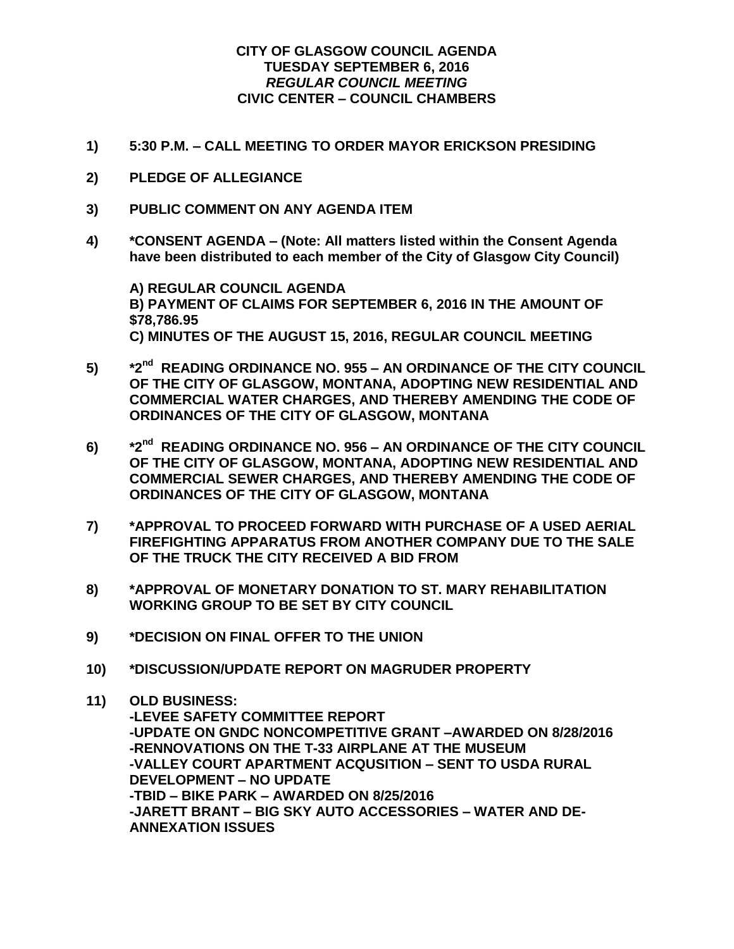## **CITY OF GLASGOW COUNCIL AGENDA TUESDAY SEPTEMBER 6, 2016** *REGULAR COUNCIL MEETING* **CIVIC CENTER – COUNCIL CHAMBERS**

- **1) 5:30 P.M. – CALL MEETING TO ORDER MAYOR ERICKSON PRESIDING**
- **2) PLEDGE OF ALLEGIANCE**
- **3) PUBLIC COMMENT ON ANY AGENDA ITEM**
- **4) \*CONSENT AGENDA – (Note: All matters listed within the Consent Agenda have been distributed to each member of the City of Glasgow City Council)**

**A) REGULAR COUNCIL AGENDA B) PAYMENT OF CLAIMS FOR SEPTEMBER 6, 2016 IN THE AMOUNT OF \$78,786.95 C) MINUTES OF THE AUGUST 15, 2016, REGULAR COUNCIL MEETING**

- **5) \*2nd READING ORDINANCE NO. 955 – AN ORDINANCE OF THE CITY COUNCIL OF THE CITY OF GLASGOW, MONTANA, ADOPTING NEW RESIDENTIAL AND COMMERCIAL WATER CHARGES, AND THEREBY AMENDING THE CODE OF ORDINANCES OF THE CITY OF GLASGOW, MONTANA**
- **6) \*2nd READING ORDINANCE NO. 956 – AN ORDINANCE OF THE CITY COUNCIL OF THE CITY OF GLASGOW, MONTANA, ADOPTING NEW RESIDENTIAL AND COMMERCIAL SEWER CHARGES, AND THEREBY AMENDING THE CODE OF ORDINANCES OF THE CITY OF GLASGOW, MONTANA**
- **7) \*APPROVAL TO PROCEED FORWARD WITH PURCHASE OF A USED AERIAL FIREFIGHTING APPARATUS FROM ANOTHER COMPANY DUE TO THE SALE OF THE TRUCK THE CITY RECEIVED A BID FROM**
- **8) \*APPROVAL OF MONETARY DONATION TO ST. MARY REHABILITATION WORKING GROUP TO BE SET BY CITY COUNCIL**
- **9) \*DECISION ON FINAL OFFER TO THE UNION**
- **10) \*DISCUSSION/UPDATE REPORT ON MAGRUDER PROPERTY**
- **11) OLD BUSINESS: -LEVEE SAFETY COMMITTEE REPORT -UPDATE ON GNDC NONCOMPETITIVE GRANT –AWARDED ON 8/28/2016 -RENNOVATIONS ON THE T-33 AIRPLANE AT THE MUSEUM -VALLEY COURT APARTMENT ACQUSITION – SENT TO USDA RURAL DEVELOPMENT – NO UPDATE -TBID – BIKE PARK – AWARDED ON 8/25/2016 -JARETT BRANT – BIG SKY AUTO ACCESSORIES – WATER AND DE-ANNEXATION ISSUES**